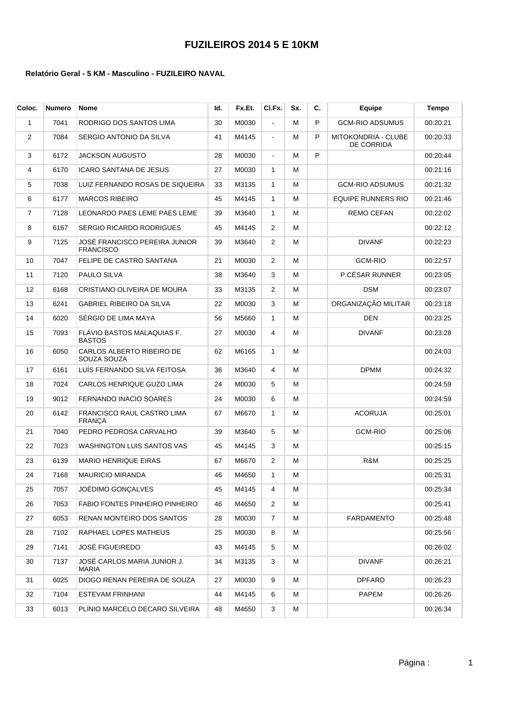| Coloc. | Numero | Nome                                              | ld. | Fx.Et. | CI.Fx.         | Sx. | C. | <b>Eauipe</b>                            | Tempo    |
|--------|--------|---------------------------------------------------|-----|--------|----------------|-----|----|------------------------------------------|----------|
| 1      | 7041   | RODRIGO DOS SANTOS LIMA                           | 30  | M0030  | $\blacksquare$ | М   | P  | <b>GCM-RIO ADSUMUS</b>                   | 00:20:21 |
| 2      | 7084   | SERGIO ANTONIO DA SILVA                           | 41  | M4145  | $\blacksquare$ | М   | P  | MITOKONDRIA - CLUBE<br><b>DE CORRIDA</b> | 00:20:33 |
| 3      | 6172   | JACKSON AUGUSTO                                   | 28  | M0030  | $\blacksquare$ | М   | P  |                                          | 00:20:44 |
| 4      | 6170   | ICARO SANTANA DE JESUS                            | 27  | M0030  | $\mathbf{1}$   | М   |    |                                          | 00:21:16 |
| 5      | 7038   | LUIZ FERNANDO ROSAS DE SIQUEIRA                   | 33  | M3135  | $\mathbf{1}$   | м   |    | <b>GCM-RIO ADSUMUS</b>                   | 00:21:32 |
| 6      | 6177   | <b>MARCOS RIBEIRO</b>                             | 45  | M4145  | $\mathbf{1}$   | м   |    | <b>EQUIPE RUNNERS RIO</b>                | 00:21:46 |
| 7      | 7128   | LEONARDO PAES LEME PAES LEME                      | 39  | M3640  | $\mathbf{1}$   | м   |    | REMO CEFAN                               | 00:22:02 |
| 8      | 6167   | <b>SERGIO RICARDO RODRIGUES</b>                   | 45  | M4145  | $\overline{2}$ | м   |    |                                          | 00:22:12 |
| 9      | 7125   | JOSÉ FRANCISCO PEREIRA JUNIOR<br><b>FRANCISCO</b> | 39  | M3640  | $\overline{2}$ | М   |    | <b>DIVANF</b>                            | 00:22:23 |
| 10     | 7047   | FELIPE DE CASTRO SANTANA                          | 21  | M0030  | $\overline{2}$ | м   |    | <b>GCM-RIO</b>                           | 00:22:57 |
| 11     | 7120   | PAULO SILVA                                       | 38  | M3640  | 3              | м   |    | P.CÉSAR RUNNER                           | 00:23:05 |
| 12     | 6168   | CRISTIANO OLIVEIRA DE MOURA                       | 33  | M3135  | $\overline{2}$ | м   |    | <b>DSM</b>                               | 00:23:07 |
| 13     | 6241   | GABRIEL RIBEIRO DA SILVA                          | 22  | M0030  | 3              | м   |    | ORGANIZAÇÃO MILITAR                      | 00:23:18 |
| 14     | 6020   | SERGIO DE LIMA MAYA                               | 56  | M5660  | $\mathbf{1}$   | М   |    | <b>DEN</b>                               | 00:23:25 |
| 15     | 7093   | FLÁVIO BASTOS MALAQUIAS F.<br><b>BASTOS</b>       | 27  | M0030  | 4              | м   |    | <b>DIVANF</b>                            | 00:23:28 |
| 16     | 6050   | CARLOS ALBERTO RIBEIRO DE<br>SOUZA SOUZA          | 62  | M6165  | $\mathbf{1}$   | М   |    |                                          | 00:24:03 |
| 17     | 6161   | LUÍS FERNANDO SILVA FEITOSA                       | 36  | M3640  | 4              | М   |    | <b>DPMM</b>                              | 00:24:32 |
| 18     | 7024   | CARLOS HENRIQUE GUZO LIMA                         | 24  | M0030  | 5              | м   |    |                                          | 00:24:59 |
| 19     | 9012   | FERNANDO INACIO SOARES                            | 24  | M0030  | 6              | М   |    |                                          | 00:24:59 |
| 20     | 6142   | FRANCISCO RAUL CASTRO LIMA<br><b>FRANÇA</b>       | 67  | M6670  | $\mathbf{1}$   | М   |    | <b>ACORUJA</b>                           | 00:25:01 |
| 21     | 7040   | PEDRO PEDROSA CARVALHO                            | 39  | M3640  | 5              | М   |    | <b>GCM-RIO</b>                           | 00:25:06 |
| 22     | 7023   | WASHINGTON LUIS SANTOS VAS                        | 45  | M4145  | 3              | м   |    |                                          | 00:25:15 |
| 23     | 6139   | <b>MARIO HENRIQUE EIRAS</b>                       | 67  | M6670  | $\overline{2}$ | м   |    | R&M                                      | 00:25:25 |
| 24     | 7168   | MAURICIO MIRANDA                                  | 46  | M4650  | $\mathbf{1}$   | м   |    |                                          | 00:25:31 |
| 25     | 7057   | JOÉDIMO GONÇALVES                                 | 45  | M4145  | 4              | м   |    |                                          | 00:25:34 |
| 26     | 7053   | FABIO FONTES PINHEIRO PINHEIRO                    | 46  | M4650  | 2              | м   |    |                                          | 00:25:41 |
| 27     | 6053   | RENAN MONTEIRO DOS SANTOS                         | 28  | M0030  | 7              | м   |    | <b>FARDAMENTO</b>                        | 00:25:48 |
| 28     | 7102   | RAPHAEL LOPES MATHEUS                             | 25  | M0030  | 8              | м   |    |                                          | 00:25:56 |
| 29     | 7141   | <b>JOSÉ FIGUEIREDO</b>                            | 43  | M4145  | 5              | м   |    |                                          | 00:26:02 |
| 30     | 7137   | JOSÉ CARLOS MARIA JUNIOR J.<br>MARIA              | 34  | M3135  | 3              | м   |    | <b>DIVANF</b>                            | 00:26:21 |
| 31     | 6025   | DIOGO RENAN PEREIRA DE SOUZA                      | 27  | M0030  | 9              | м   |    | DPFARD                                   | 00:26:23 |
| 32     | 7104   | ESTEVAM FRINHANI                                  | 44  | M4145  | 6              | м   |    | PAPEM                                    | 00:26:26 |
| 33     | 6013   | PLÍNIO MARCELO DECARO SILVEIRA                    | 48  | M4650  | 3              | м   |    |                                          | 00:26:34 |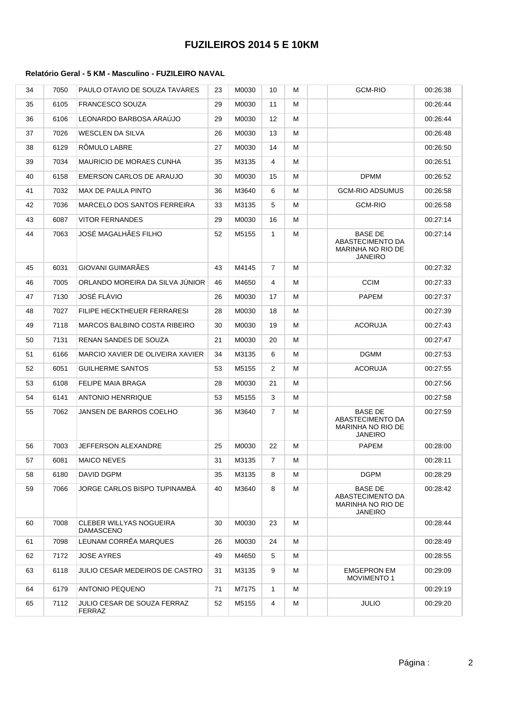| 34 | 7050 | PAULO OTAVIO DE SOUZA TAVARES         | 23 | M0030 | 10             | м | <b>GCM-RIO</b>                                                            | 00:26:38 |
|----|------|---------------------------------------|----|-------|----------------|---|---------------------------------------------------------------------------|----------|
| 35 | 6105 | <b>FRANCESCO SOUZA</b>                | 29 | M0030 | 11             | м |                                                                           | 00:26:44 |
| 36 | 6106 | LEONARDO BARBOSA ARAÚJO               | 29 | M0030 | 12             | м |                                                                           | 00:26:44 |
| 37 | 7026 | <b>WESCLEN DA SILVA</b>               | 26 | M0030 | 13             | м |                                                                           | 00:26:48 |
| 38 | 6129 | RÖMULO LABRE                          | 27 | M0030 | 14             | м |                                                                           | 00:26:50 |
| 39 | 7034 | <b>MAURICIO DE MORAES CUNHA</b>       | 35 | M3135 | 4              | М |                                                                           | 00:26:51 |
| 40 | 6158 | EMERSON CARLOS DE ARAUJO              | 30 | M0030 | 15             | м | <b>DPMM</b>                                                               | 00:26:52 |
| 41 | 7032 | <b>MAX DE PAULA PINTO</b>             | 36 | M3640 | 6              | м | <b>GCM-RIO ADSUMUS</b>                                                    | 00:26:58 |
| 42 | 7036 | MARCELO DOS SANTOS FERREIRA           | 33 | M3135 | 5              | м | <b>GCM-RIO</b>                                                            | 00:26:58 |
| 43 | 6087 | <b>VITOR FERNANDES</b>                | 29 | M0030 | 16             | м |                                                                           | 00:27:14 |
| 44 | 7063 | JOSÉ MAGALHÃES FILHO                  | 52 | M5155 | $\mathbf{1}$   | м | <b>BASE DE</b><br>ABASTECIMENTO DA<br>MARINHA NO RIO DE<br><b>JANEIRO</b> | 00:27:14 |
| 45 | 6031 | GIOVANI GUIMARÃES                     | 43 | M4145 | $\overline{7}$ | м |                                                                           | 00:27:32 |
| 46 | 7005 | ORLANDO MOREIRA DA SILVA JUNIOR       | 46 | M4650 | 4              | м | <b>CCIM</b>                                                               | 00:27:33 |
| 47 | 7130 | JOSÉ FLÁVIO                           | 26 | M0030 | 17             | м | <b>PAPEM</b>                                                              | 00:27:37 |
| 48 | 7027 | FILIPE HECKTHEUER FERRARESI           | 28 | M0030 | 18             | м |                                                                           | 00:27:39 |
| 49 | 7118 | MARCOS BALBINO COSTA RIBEIRO          | 30 | M0030 | 19             | м | <b>ACORUJA</b>                                                            | 00:27:43 |
| 50 | 7131 | RENAN SANDES DE SOUZA                 | 21 | M0030 | 20             | м |                                                                           | 00:27:47 |
| 51 | 6166 | MARCIO XAVIER DE OLIVEIRA XAVIER      | 34 | M3135 | 6              | м | <b>DGMM</b>                                                               | 00:27:53 |
| 52 | 6051 | <b>GUILHERME SANTOS</b>               | 53 | M5155 | 2              | м | <b>ACORUJA</b>                                                            | 00:27:55 |
| 53 | 6108 | FELIPE MAIA BRAGA                     | 28 | M0030 | 21             | м |                                                                           | 00:27:56 |
| 54 | 6141 | <b>ANTONIO HENRRIQUE</b>              | 53 | M5155 | 3              | м |                                                                           | 00:27:58 |
| 55 | 7062 | JANSEN DE BARROS COELHO               | 36 | M3640 | $\overline{7}$ | м | <b>BASE DE</b><br>ABASTECIMENTO DA<br>MARINHA NO RIO DE<br><b>JANEIRO</b> | 00:27:59 |
| 56 | 7003 | <b>JEFFERSON ALEXANDRE</b>            | 25 | M0030 | 22             | м | <b>PAPEM</b>                                                              | 00:28:00 |
| 57 | 6081 | <b>MAICO NEVES</b>                    | 31 | M3135 | $\overline{7}$ | м |                                                                           | 00:28:11 |
| 58 | 6180 | DAVID DGPM                            | 35 | M3135 | 8              | м | <b>DGPM</b>                                                               | 00:28:29 |
| 59 | 7066 | JORGE CARLOS BISPO TUPINAMBA          | 40 | M3640 | 8              | м | <b>BASE DE</b><br>ABASTECIMENTO DA<br>MARINHA NO RIO DE<br><b>JANEIRO</b> | 00:28:42 |
| 60 | 7008 | CLEBER WILLYAS NOGUEIRA<br>DAMASCENO  | 30 | M0030 | 23             | м |                                                                           | 00:28:44 |
| 61 | 7098 | LEUNAM CORRÊA MARQUES                 | 26 | M0030 | 24             | м |                                                                           | 00:28:49 |
| 62 | 7172 | <b>JOSE AYRES</b>                     | 49 | M4650 | 5              | м |                                                                           | 00:28:55 |
| 63 | 6118 | JULIO CESAR MEDEIROS DE CASTRO        | 31 | M3135 | 9              | м | <b>EMGEPRON EM</b><br><b>MOVIMENTO 1</b>                                  | 00:29:09 |
| 64 | 6179 | <b>ANTONIO PEQUENO</b>                | 71 | M7175 | $\mathbf{1}$   | м |                                                                           | 00:29:19 |
| 65 | 7112 | JULIO CESAR DE SOUZA FERRAZ<br>FERRAZ | 52 | M5155 | 4              | м | <b>JULIO</b>                                                              | 00:29:20 |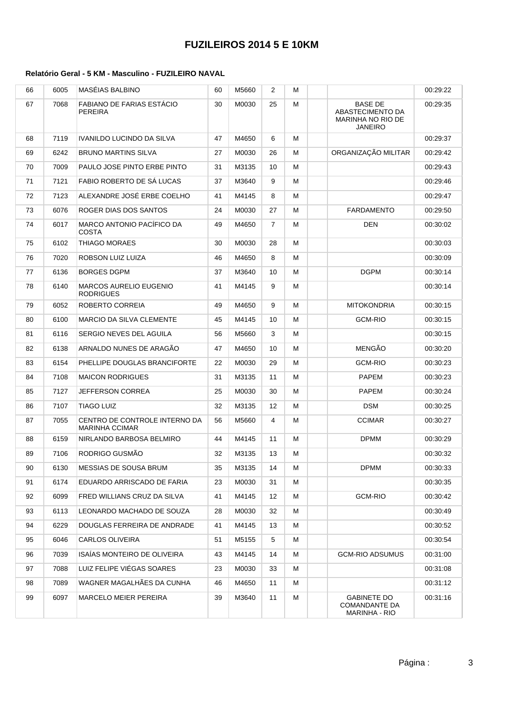| 66 | 6005 | MASÉIAS BALBINO                                        | 60 | M5660 | $\overline{2}$ | м |                                                                           | 00:29:22 |
|----|------|--------------------------------------------------------|----|-------|----------------|---|---------------------------------------------------------------------------|----------|
| 67 | 7068 | FABIANO DE FARIAS ESTÁCIO<br>PEREIRA                   | 30 | M0030 | 25             | м | <b>BASE DE</b><br>ABASTECIMENTO DA<br>MARINHA NO RIO DE<br><b>JANEIRO</b> | 00:29:35 |
| 68 | 7119 | IVANILDO LUCINDO DA SILVA                              | 47 | M4650 | 6              | М |                                                                           | 00:29:37 |
| 69 | 6242 | <b>BRUNO MARTINS SILVA</b>                             | 27 | M0030 | 26             | м | ORGANIZAÇÃO MILITAR                                                       | 00:29:42 |
| 70 | 7009 | PAULO JOSE PINTO ERBE PINTO                            | 31 | M3135 | 10             | М |                                                                           | 00:29:43 |
| 71 | 7121 | FABIO ROBERTO DE SÁ LUCAS                              | 37 | M3640 | 9              | м |                                                                           | 00:29:46 |
| 72 | 7123 | ALEXANDRE JOSÉ ERBE COELHO                             | 41 | M4145 | 8              | м |                                                                           | 00:29:47 |
| 73 | 6076 | ROGER DIAS DOS SANTOS                                  | 24 | M0030 | 27             | м | <b>FARDAMENTO</b>                                                         | 00:29:50 |
| 74 | 6017 | MARCO ANTONIO PACÍFICO DA<br>COSTA                     | 49 | M4650 | $\overline{7}$ | М | DEN                                                                       | 00:30:02 |
| 75 | 6102 | THIAGO MORAES                                          | 30 | M0030 | 28             | М |                                                                           | 00:30:03 |
| 76 | 7020 | ROBSON LUIZ LUIZA                                      | 46 | M4650 | 8              | м |                                                                           | 00:30:09 |
| 77 | 6136 | <b>BORGES DGPM</b>                                     | 37 | M3640 | 10             | м | <b>DGPM</b>                                                               | 00:30:14 |
| 78 | 6140 | MARCOS AURELIO EUGENIO<br>RODRIGUES                    | 41 | M4145 | 9              | М |                                                                           | 00:30:14 |
| 79 | 6052 | ROBERTO CORREIA                                        | 49 | M4650 | 9              | м | <b>MITOKONDRIA</b>                                                        | 00:30:15 |
| 80 | 6100 | MARCIO DA SILVA CLEMENTE                               | 45 | M4145 | 10             | М | <b>GCM-RIO</b>                                                            | 00:30:15 |
| 81 | 6116 | SERGIO NEVES DEL AGUILA                                | 56 | M5660 | 3              | м |                                                                           | 00:30:15 |
| 82 | 6138 | ARNALDO NUNES DE ARAGÃO                                | 47 | M4650 | 10             | м | <b>MENGÃO</b>                                                             | 00:30:20 |
| 83 | 6154 | PHELLIPE DOUGLAS BRANCIFORTE                           | 22 | M0030 | 29             | м | <b>GCM-RIO</b>                                                            | 00:30:23 |
| 84 | 7108 | <b>MAICON RODRIGUES</b>                                | 31 | M3135 | 11             | м | <b>PAPEM</b>                                                              | 00:30:23 |
| 85 | 7127 | JEFFERSON CORREA                                       | 25 | M0030 | 30             | М | <b>PAPEM</b>                                                              | 00:30:24 |
| 86 | 7107 | TIAGO LUIZ                                             | 32 | M3135 | 12             | м | DSM                                                                       | 00:30:25 |
| 87 | 7055 | CENTRO DE CONTROLE INTERNO DA<br><b>MARINHA CCIMAR</b> | 56 | M5660 | 4              | М | <b>CCIMAR</b>                                                             | 00:30:27 |
| 88 | 6159 | NIRLANDO BARBOSA BELMIRO                               | 44 | M4145 | 11             | м | <b>DPMM</b>                                                               | 00:30:29 |
| 89 | 7106 | RODRIGO GUSMÃO                                         | 32 | M3135 | 13             | м |                                                                           | 00:30:32 |
| 90 | 6130 | MESSIAS DE SOUSA BRUM                                  | 35 | M3135 | 14             | м | <b>DPMM</b>                                                               | 00:30:33 |
| 91 | 6174 | EDUARDO ARRISCADO DE FARIA                             | 23 | M0030 | 31             | м |                                                                           | 00:30:35 |
| 92 | 6099 | FRED WILLIANS CRUZ DA SILVA                            | 41 | M4145 | 12             | м | <b>GCM-RIO</b>                                                            | 00:30:42 |
| 93 | 6113 | LEONARDO MACHADO DE SOUZA                              | 28 | M0030 | 32             | м |                                                                           | 00:30:49 |
| 94 | 6229 | DOUGLAS FERREIRA DE ANDRADE                            | 41 | M4145 | 13             | м |                                                                           | 00:30:52 |
| 95 | 6046 | CARLOS OLIVEIRA                                        | 51 | M5155 | 5              | м |                                                                           | 00:30:54 |
| 96 | 7039 | ISAÍAS MONTEIRO DE OLIVEIRA                            | 43 | M4145 | 14             | м | <b>GCM-RIO ADSUMUS</b>                                                    | 00:31:00 |
| 97 | 7088 | LUIZ FELIPE VIÉGAS SOARES                              | 23 | M0030 | 33             | м |                                                                           | 00:31:08 |
| 98 | 7089 | WAGNER MAGALHAES DA CUNHA                              | 46 | M4650 | 11             | м |                                                                           | 00:31:12 |
| 99 | 6097 | MARCELO MEIER PEREIRA                                  | 39 | M3640 | 11             | м | <b>GABINETE DO</b><br>COMANDANTE DA<br><b>MARINHA - RIO</b>               | 00:31:16 |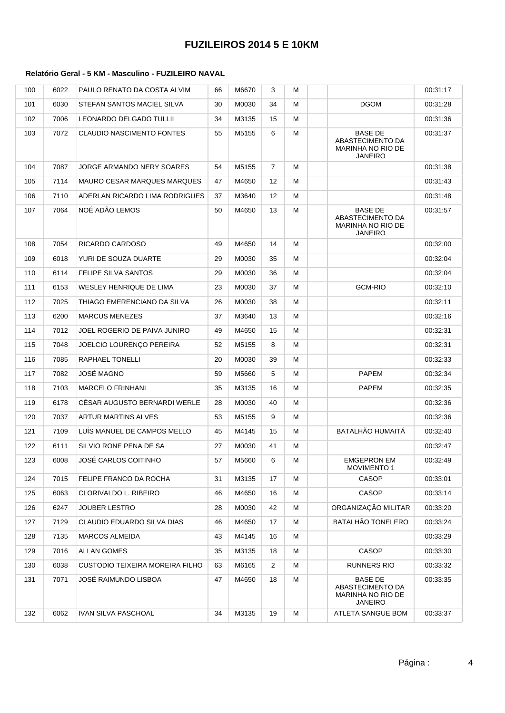| 100 | 6022 | PAULO RENATO DA COSTA ALVIM      | 66 | M6670 | 3              | м |                                                                           | 00:31:17 |
|-----|------|----------------------------------|----|-------|----------------|---|---------------------------------------------------------------------------|----------|
| 101 | 6030 | STEFAN SANTOS MACIEL SILVA       | 30 | M0030 | 34             | м | <b>DGOM</b>                                                               | 00:31:28 |
| 102 | 7006 | LEONARDO DELGADO TULLII          | 34 | M3135 | 15             | м |                                                                           | 00:31:36 |
| 103 | 7072 | <b>CLAUDIO NASCIMENTO FONTES</b> | 55 | M5155 | 6              | м | <b>BASE DE</b><br>ABASTECIMENTO DA<br>MARINHA NO RIO DE<br><b>JANEIRO</b> | 00:31:37 |
| 104 | 7087 | JORGE ARMANDO NERY SOARES        | 54 | M5155 | $\overline{7}$ | M |                                                                           | 00:31:38 |
| 105 | 7114 | MAURO CESAR MARQUES MARQUES      | 47 | M4650 | 12             | M |                                                                           | 00:31:43 |
| 106 | 7110 | ADERLAN RICARDO LIMA RODRIGUES   | 37 | M3640 | 12             | м |                                                                           | 00:31:48 |
| 107 | 7064 | NOÉ ADÃO LEMOS                   | 50 | M4650 | 13             | м | <b>BASE DE</b><br>ABASTECIMENTO DA<br>MARINHA NO RIO DE<br><b>JANEIRO</b> | 00:31:57 |
| 108 | 7054 | RICARDO CARDOSO                  | 49 | M4650 | 14             | м |                                                                           | 00:32:00 |
| 109 | 6018 | YURI DE SOUZA DUARTE             | 29 | M0030 | 35             | M |                                                                           | 00:32:04 |
| 110 | 6114 | <b>FELIPE SILVA SANTOS</b>       | 29 | M0030 | 36             | м |                                                                           | 00:32:04 |
| 111 | 6153 | WESLEY HENRIQUE DE LIMA          | 23 | M0030 | 37             | м | <b>GCM-RIO</b>                                                            | 00:32:10 |
| 112 | 7025 | THIAGO EMERENCIANO DA SILVA      | 26 | M0030 | 38             | м |                                                                           | 00:32:11 |
| 113 | 6200 | <b>MARCUS MENEZES</b>            | 37 | M3640 | 13             | м |                                                                           | 00:32:16 |
| 114 | 7012 | JOEL ROGERIO DE PAIVA JUNIRO     | 49 | M4650 | 15             | м |                                                                           | 00:32:31 |
| 115 | 7048 | JOELCIO LOURENÇO PEREIRA         | 52 | M5155 | 8              | м |                                                                           | 00:32:31 |
| 116 | 7085 | <b>RAPHAEL TONELLI</b>           | 20 | M0030 | 39             | м |                                                                           | 00:32:33 |
| 117 | 7082 | JOSÉ MAGNO                       | 59 | M5660 | 5              | м | <b>PAPEM</b>                                                              | 00:32:34 |
| 118 | 7103 | <b>MARCELO FRINHANI</b>          | 35 | M3135 | 16             | M | <b>PAPEM</b>                                                              | 00:32:35 |
| 119 | 6178 | CÉSAR AUGUSTO BERNARDI WERLE     | 28 | M0030 | 40             | м |                                                                           | 00:32:36 |
| 120 | 7037 | ARTUR MARTINS ALVES              | 53 | M5155 | 9              | м |                                                                           | 00:32:36 |
| 121 | 7109 | LUÍS MANUEL DE CAMPOS MELLO      | 45 | M4145 | 15             | M | <b>BATALHÃO HUMAITÁ</b>                                                   | 00:32:40 |
| 122 | 6111 | SILVIO RONE PENA DE SA           | 27 | M0030 | 41             | м |                                                                           | 00:32:47 |
| 123 | 6008 | JOSÉ CARLOS COITINHO             | 57 | M5660 | 6              | M | <b>EMGEPRON EM</b><br><b>MOVIMENTO 1</b>                                  | 00:32:49 |
| 124 | 7015 | FELIPE FRANCO DA ROCHA           | 31 | M3135 | 17             | м | <b>CASOP</b>                                                              | 00:33:01 |
| 125 | 6063 | CLORIVALDO L. RIBEIRO            | 46 | M4650 | 16             | м | <b>CASOP</b>                                                              | 00:33:14 |
| 126 | 6247 | <b>JOUBER LESTRO</b>             | 28 | M0030 | 42             | м | ORGANIZAÇÃO MILITAR                                                       | 00:33:20 |
| 127 | 7129 | CLAUDIO EDUARDO SILVA DIAS       | 46 | M4650 | 17             | м | <b>BATALHÃO TONELERO</b>                                                  | 00:33:24 |
| 128 | 7135 | MARCOS ALMEIDA                   | 43 | M4145 | 16             | м |                                                                           | 00:33:29 |
| 129 | 7016 | <b>ALLAN GOMES</b>               | 35 | M3135 | 18             | м | CASOP                                                                     | 00:33:30 |
| 130 | 6038 | CUSTODIO TEIXEIRA MOREIRA FILHO  | 63 | M6165 | 2              | м | <b>RUNNERS RIO</b>                                                        | 00:33:32 |
| 131 | 7071 | JOSÉ RAIMUNDO LISBOA             | 47 | M4650 | 18             | м | BASE DE<br>ABASTECIMENTO DA<br>MARINHA NO RIO DE<br><b>JANEIRO</b>        | 00:33:35 |
| 132 | 6062 | IVAN SILVA PASCHOAL              | 34 | M3135 | 19             | м | ATLETA SANGUE BOM                                                         | 00:33:37 |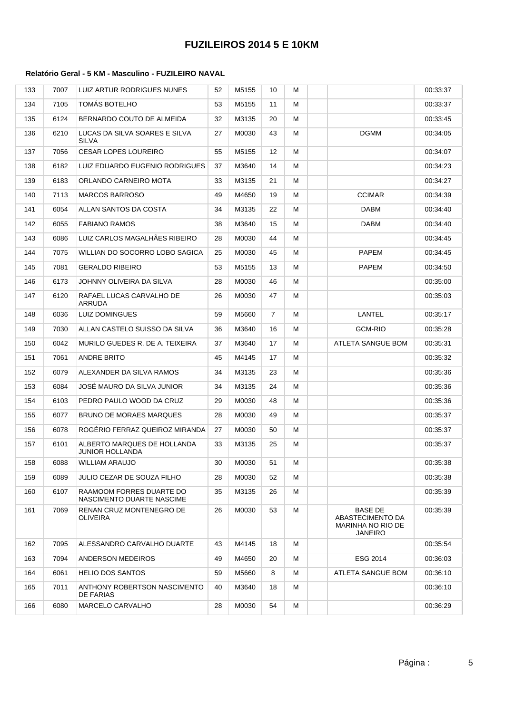| 133 | 7007 | LUIZ ARTUR RODRIGUES NUNES                            | 52 | M5155 | 10             | М |                                                                                  | 00:33:37 |
|-----|------|-------------------------------------------------------|----|-------|----------------|---|----------------------------------------------------------------------------------|----------|
| 134 | 7105 | TOMÁS BOTELHO                                         | 53 | M5155 | 11             | м |                                                                                  | 00:33:37 |
| 135 | 6124 | BERNARDO COUTO DE ALMEIDA                             | 32 | M3135 | 20             | м |                                                                                  | 00:33:45 |
| 136 | 6210 | LUCAS DA SILVA SOARES E SILVA<br>SILVA                | 27 | M0030 | 43             | м | <b>DGMM</b>                                                                      | 00:34:05 |
| 137 | 7056 | CESAR LOPES LOUREIRO                                  | 55 | M5155 | 12             | м |                                                                                  | 00:34:07 |
| 138 | 6182 | LUIZ EDUARDO EUGENIO RODRIGUES                        | 37 | M3640 | 14             | M |                                                                                  | 00:34:23 |
| 139 | 6183 | ORLANDO CARNEIRO MOTA                                 | 33 | M3135 | 21             | м |                                                                                  | 00:34:27 |
| 140 | 7113 | <b>MARCOS BARROSO</b>                                 | 49 | M4650 | 19             | м | <b>CCIMAR</b>                                                                    | 00:34:39 |
| 141 | 6054 | ALLAN SANTOS DA COSTA                                 | 34 | M3135 | 22             | м | DABM                                                                             | 00:34:40 |
| 142 | 6055 | <b>FABIANO RAMOS</b>                                  | 38 | M3640 | 15             | м | DABM                                                                             | 00:34:40 |
| 143 | 6086 | LUIZ CARLOS MAGALHÃES RIBEIRO                         | 28 | M0030 | 44             | M |                                                                                  | 00:34:45 |
| 144 | 7075 | WILLIAN DO SOCORRO LOBO SAGICA                        | 25 | M0030 | 45             | м | <b>PAPEM</b>                                                                     | 00:34:45 |
| 145 | 7081 | <b>GERALDO RIBEIRO</b>                                | 53 | M5155 | 13             | м | <b>PAPEM</b>                                                                     | 00:34:50 |
| 146 | 6173 | JOHNNY OLIVEIRA DA SILVA                              | 28 | M0030 | 46             | м |                                                                                  | 00:35:00 |
| 147 | 6120 | RAFAEL LUCAS CARVALHO DE<br>ARRUDA                    | 26 | M0030 | 47             | м |                                                                                  | 00:35:03 |
| 148 | 6036 | <b>LUIZ DOMINGUES</b>                                 | 59 | M5660 | $\overline{7}$ | м | LANTEL                                                                           | 00:35:17 |
| 149 | 7030 | ALLAN CASTELO SUISSO DA SILVA                         | 36 | M3640 | 16             | м | <b>GCM-RIO</b>                                                                   | 00:35:28 |
| 150 | 6042 | MURILO GUEDES R. DE A. TEIXEIRA                       | 37 | M3640 | 17             | м | ATLETA SANGUE BOM                                                                | 00:35:31 |
| 151 | 7061 | ANDRE BRITO                                           | 45 | M4145 | 17             | м |                                                                                  | 00:35:32 |
| 152 | 6079 | ALEXANDER DA SILVA RAMOS                              | 34 | M3135 | 23             | м |                                                                                  | 00:35:36 |
| 153 | 6084 | JOSE MAURO DA SILVA JUNIOR                            | 34 | M3135 | 24             | м |                                                                                  | 00:35:36 |
| 154 | 6103 | PEDRO PAULO WOOD DA CRUZ                              | 29 | M0030 | 48             | м |                                                                                  | 00:35:36 |
| 155 | 6077 | <b>BRUNO DE MORAES MARQUES</b>                        | 28 | M0030 | 49             | м |                                                                                  | 00:35:37 |
| 156 | 6078 | ROGERIO FERRAZ QUEIROZ MIRANDA                        | 27 | M0030 | 50             | м |                                                                                  | 00:35:37 |
| 157 | 6101 | ALBERTO MARQUES DE HOLLANDA<br>JUNIOR HOLLANDA        | 33 | M3135 | 25             | м |                                                                                  | 00:35:37 |
| 158 | 6088 | <b>WILLIAM ARAUJO</b>                                 | 30 | M0030 | 51             | M |                                                                                  | 00:35:38 |
| 159 | 6089 | JULIO CEZAR DE SOUZA FILHO                            | 28 | M0030 | 52             | м |                                                                                  | 00:35:38 |
| 160 | 6107 | RAAMOOM FORRES DUARTE DO<br>NASCIMENTO DUARTE NASCIME | 35 | M3135 | 26             | м |                                                                                  | 00:35:39 |
| 161 | 7069 | RENAN CRUZ MONTENEGRO DE<br><b>OLIVEIRA</b>           | 26 | M0030 | 53             | M | <b>BASE DE</b><br>ABASTECIMENTO DA<br><b>MARINHA NO RIO DE</b><br><b>JANEIRO</b> | 00:35:39 |
| 162 | 7095 | ALESSANDRO CARVALHO DUARTE                            | 43 | M4145 | 18             | м |                                                                                  | 00:35:54 |
| 163 | 7094 | ANDERSON MEDEIROS                                     | 49 | M4650 | 20             | м | ESG 2014                                                                         | 00:36:03 |
| 164 | 6061 | HELIO DOS SANTOS                                      | 59 | M5660 | 8              | м | ATLETA SANGUE BOM                                                                | 00:36:10 |
| 165 | 7011 | ANTHONY ROBERTSON NASCIMENTO<br>DE FARIAS             | 40 | M3640 | 18             | м |                                                                                  | 00:36:10 |
| 166 | 6080 | <b>MARCELO CARVALHO</b>                               | 28 | M0030 | 54             | м |                                                                                  | 00:36:29 |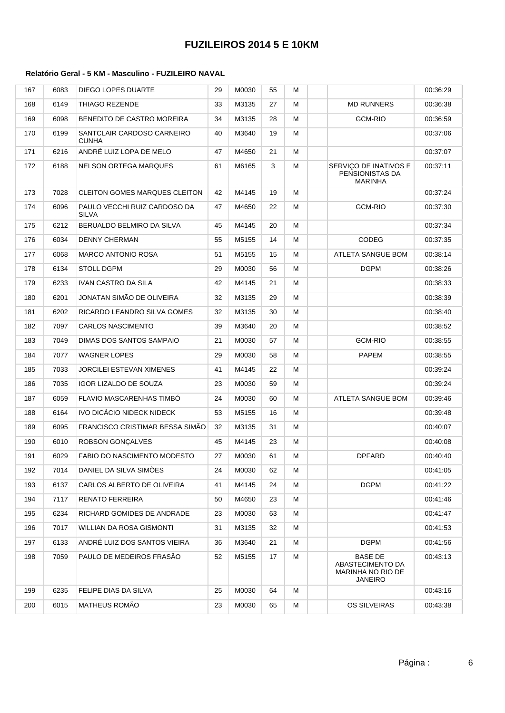| 167 | 6083 | <b>DIEGO LOPES DUARTE</b>                  | 29 | M0030 | 55 | м |                                                                    | 00:36:29 |
|-----|------|--------------------------------------------|----|-------|----|---|--------------------------------------------------------------------|----------|
| 168 | 6149 | THIAGO REZENDE                             | 33 | M3135 | 27 | M | <b>MD RUNNERS</b>                                                  | 00:36:38 |
| 169 | 6098 | BENEDITO DE CASTRO MOREIRA                 | 34 | M3135 | 28 | м | <b>GCM-RIO</b>                                                     | 00:36:59 |
| 170 | 6199 | SANTCLAIR CARDOSO CARNEIRO<br><b>CUNHA</b> | 40 | M3640 | 19 | м |                                                                    | 00:37:06 |
| 171 | 6216 | ANDRÉ LUIZ LOPA DE MELO                    | 47 | M4650 | 21 | М |                                                                    | 00:37:07 |
| 172 | 6188 | NELSON ORTEGA MARQUES                      | 61 | M6165 | 3  | м | SERVIÇO DE INATIVOS E<br>PENSIONISTAS DA<br><b>MARINHA</b>         | 00:37:11 |
| 173 | 7028 | <b>CLEITON GOMES MARQUES CLEITON</b>       | 42 | M4145 | 19 | М |                                                                    | 00:37:24 |
| 174 | 6096 | PAULO VECCHI RUIZ CARDOSO DA<br>SILVA      | 47 | M4650 | 22 | М | <b>GCM-RIO</b>                                                     | 00:37:30 |
| 175 | 6212 | BERUALDO BELMIRO DA SILVA                  | 45 | M4145 | 20 | м |                                                                    | 00:37:34 |
| 176 | 6034 | <b>DENNY CHERMAN</b>                       | 55 | M5155 | 14 | М | <b>CODEG</b>                                                       | 00:37:35 |
| 177 | 6068 | <b>MARCO ANTONIO ROSA</b>                  | 51 | M5155 | 15 | M | ATLETA SANGUE BOM                                                  | 00:38:14 |
| 178 | 6134 | <b>STOLL DGPM</b>                          | 29 | M0030 | 56 | м | <b>DGPM</b>                                                        | 00:38:26 |
| 179 | 6233 | IVAN CASTRO DA SILA                        | 42 | M4145 | 21 | M |                                                                    | 00:38:33 |
| 180 | 6201 | JONATAN SIMÃO DE OLIVEIRA                  | 32 | M3135 | 29 | M |                                                                    | 00:38:39 |
| 181 | 6202 | RICARDO LEANDRO SILVA GOMES                | 32 | M3135 | 30 | М |                                                                    | 00:38:40 |
| 182 | 7097 | <b>CARLOS NASCIMENTO</b>                   | 39 | M3640 | 20 | м |                                                                    | 00:38:52 |
| 183 | 7049 | DIMAS DOS SANTOS SAMPAIO                   | 21 | M0030 | 57 | М | <b>GCM-RIO</b>                                                     | 00:38:55 |
| 184 | 7077 | WAGNER LOPES                               | 29 | M0030 | 58 | М | PAPEM                                                              | 00:38:55 |
| 185 | 7033 | JORCILEI ESTEVAN XIMENES                   | 41 | M4145 | 22 | M |                                                                    | 00:39:24 |
| 186 | 7035 | IGOR LIZALDO DE SOUZA                      | 23 | M0030 | 59 | м |                                                                    | 00:39:24 |
| 187 | 6059 | FLAVIO MASCARENHAS TIMBO                   | 24 | M0030 | 60 | м | ATLETA SANGUE BOM                                                  | 00:39:46 |
| 188 | 6164 | IVO DICÁCIO NIDECK NIDECK                  | 53 | M5155 | 16 | м |                                                                    | 00:39:48 |
| 189 | 6095 | FRANCISCO CRISTIMAR BESSA SIMÃO            | 32 | M3135 | 31 | M |                                                                    | 00:40:07 |
| 190 | 6010 | <b>ROBSON GONCALVES</b>                    | 45 | M4145 | 23 | М |                                                                    | 00:40:08 |
| 191 | 6029 | <b>FABIO DO NASCIMENTO MODESTO</b>         | 27 | M0030 | 61 | М | <b>DPFARD</b>                                                      | 00:40:40 |
| 192 | 7014 | DANIEL DA SILVA SIMOES                     | 24 | M0030 | 62 | м |                                                                    | 00:41:05 |
| 193 | 6137 | CARLOS ALBERTO DE OLIVEIRA                 | 41 | M4145 | 24 | м | <b>DGPM</b>                                                        | 00:41:22 |
| 194 | 7117 | <b>RENATO FERREIRA</b>                     | 50 | M4650 | 23 | м |                                                                    | 00:41:46 |
| 195 | 6234 | RICHARD GOMIDES DE ANDRADE                 | 23 | M0030 | 63 | м |                                                                    | 00:41:47 |
| 196 | 7017 | WILLIAN DA ROSA GISMONTI                   | 31 | M3135 | 32 | м |                                                                    | 00:41:53 |
| 197 | 6133 | ANDRÉ LUIZ DOS SANTOS VIEIRA               | 36 | M3640 | 21 | М | <b>DGPM</b>                                                        | 00:41:56 |
| 198 | 7059 | PAULO DE MEDEIROS FRASAO                   | 52 | M5155 | 17 | М | BASE DE<br>ABASTECIMENTO DA<br>MARINHA NO RIO DE<br><b>JANEIRO</b> | 00:43:13 |
| 199 | 6235 | FELIPE DIAS DA SILVA                       | 25 | M0030 | 64 | м |                                                                    | 00:43:16 |
| 200 | 6015 | MATHEUS ROMÃO                              | 23 | M0030 | 65 | м | OS SILVEIRAS                                                       | 00:43:38 |